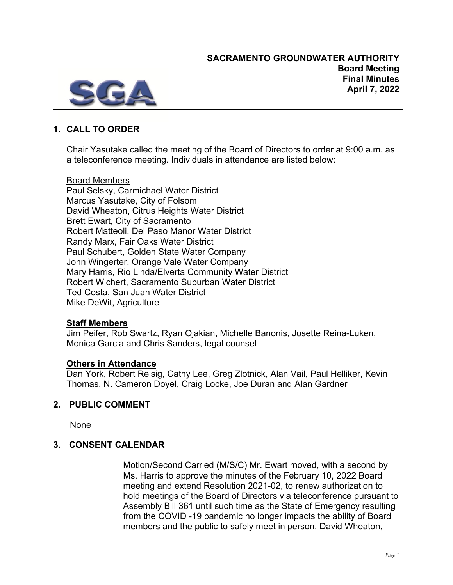

# **1. CALL TO ORDER**

Chair Yasutake called the meeting of the Board of Directors to order at 9:00 a.m. as a teleconference meeting. Individuals in attendance are listed below:

### Board Members

Paul Selsky, Carmichael Water District Marcus Yasutake, City of Folsom David Wheaton, Citrus Heights Water District Brett Ewart, City of Sacramento Robert Matteoli, Del Paso Manor Water District Randy Marx, Fair Oaks Water District Paul Schubert, Golden State Water Company John Wingerter, Orange Vale Water Company Mary Harris, Rio Linda/Elverta Community Water District Robert Wichert, Sacramento Suburban Water District Ted Costa, San Juan Water District Mike DeWit, Agriculture

#### **Staff Members**

Jim Peifer, Rob Swartz, Ryan Ojakian, Michelle Banonis, Josette Reina-Luken, Monica Garcia and Chris Sanders, legal counsel

#### **Others in Attendance**

Dan York, Robert Reisig, Cathy Lee, Greg Zlotnick, Alan Vail, Paul Helliker, Kevin Thomas, N. Cameron Doyel, Craig Locke, Joe Duran and Alan Gardner

## **2. PUBLIC COMMENT**

None

## **3. CONSENT CALENDAR**

Motion/Second Carried (M/S/C) Mr. Ewart moved, with a second by Ms. Harris to approve the minutes of the February 10, 2022 Board meeting and extend Resolution 2021-02, to renew authorization to hold meetings of the Board of Directors via teleconference pursuant to Assembly Bill 361 until such time as the State of Emergency resulting from the COVID -19 pandemic no longer impacts the ability of Board members and the public to safely meet in person. David Wheaton,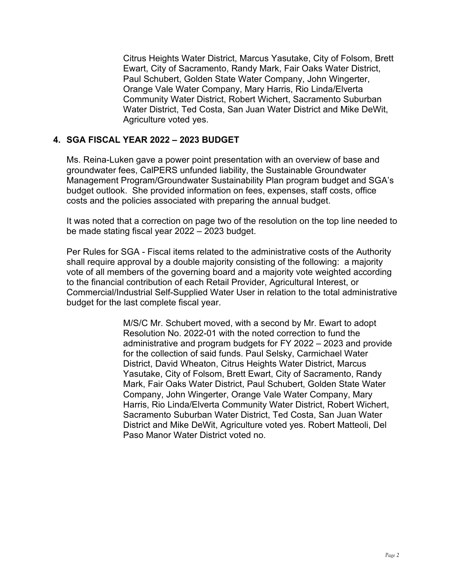Citrus Heights Water District, Marcus Yasutake, City of Folsom, Brett Ewart, City of Sacramento, Randy Mark, Fair Oaks Water District, Paul Schubert, Golden State Water Company, John Wingerter, Orange Vale Water Company, Mary Harris, Rio Linda/Elverta Community Water District, Robert Wichert, Sacramento Suburban Water District, Ted Costa, San Juan Water District and Mike DeWit, Agriculture voted yes.

#### **4. SGA FISCAL YEAR 2022 – 2023 BUDGET**

Ms. Reina-Luken gave a power point presentation with an overview of base and groundwater fees, CalPERS unfunded liability, the Sustainable Groundwater Management Program/Groundwater Sustainability Plan program budget and SGA's budget outlook. She provided information on fees, expenses, staff costs, office costs and the policies associated with preparing the annual budget.

It was noted that a correction on page two of the resolution on the top line needed to be made stating fiscal year 2022 – 2023 budget.

Per Rules for SGA - Fiscal items related to the administrative costs of the Authority shall require approval by a double majority consisting of the following: a majority vote of all members of the governing board and a majority vote weighted according to the financial contribution of each Retail Provider, Agricultural Interest, or Commercial/Industrial Self-Supplied Water User in relation to the total administrative budget for the last complete fiscal year.

> M/S/C Mr. Schubert moved, with a second by Mr. Ewart to adopt Resolution No. 2022-01 with the noted correction to fund the administrative and program budgets for FY 2022 – 2023 and provide for the collection of said funds. Paul Selsky, Carmichael Water District, David Wheaton, Citrus Heights Water District, Marcus Yasutake, City of Folsom, Brett Ewart, City of Sacramento, Randy Mark, Fair Oaks Water District, Paul Schubert, Golden State Water Company, John Wingerter, Orange Vale Water Company, Mary Harris, Rio Linda/Elverta Community Water District, Robert Wichert, Sacramento Suburban Water District, Ted Costa, San Juan Water District and Mike DeWit, Agriculture voted yes. Robert Matteoli, Del Paso Manor Water District voted no.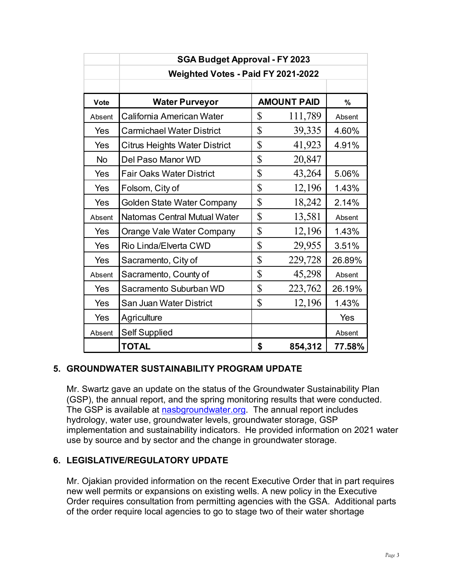|           | <b>SGA Budget Approval - FY 2023</b> |             |                    |        |
|-----------|--------------------------------------|-------------|--------------------|--------|
|           | Weighted Votes - Paid FY 2021-2022   |             |                    |        |
|           |                                      |             |                    |        |
| Vote      | <b>Water Purveyor</b>                |             | <b>AMOUNT PAID</b> | %      |
| Absent    | California American Water            | \$          | 111,789            | Absent |
| Yes       | <b>Carmichael Water District</b>     | $\mathsf S$ | 39,335             | 4.60%  |
| Yes       | <b>Citrus Heights Water District</b> | \$          | 41,923             | 4.91%  |
| <b>No</b> | Del Paso Manor WD                    | $\mathsf S$ | 20,847             |        |
| Yes       | <b>Fair Oaks Water District</b>      | $\mathsf S$ | 43,264             | 5.06%  |
| Yes       | Folsom, City of                      | $\mathsf S$ | 12,196             | 1.43%  |
| Yes       | <b>Golden State Water Company</b>    | $\mathsf S$ | 18,242             | 2.14%  |
| Absent    | <b>Natomas Central Mutual Water</b>  | \$          | 13,581             | Absent |
| Yes       | Orange Vale Water Company            | \$          | 12,196             | 1.43%  |
| Yes       | Rio Linda/Elverta CWD                | \$          | 29,955             | 3.51%  |
| Yes       | Sacramento, City of                  | \$          | 229,728            | 26.89% |
| Absent    | Sacramento, County of                | $\mathsf S$ | 45,298             | Absent |
| Yes       | Sacramento Suburban WD               | $\mathsf S$ | 223,762            | 26.19% |
| Yes       | San Juan Water District              | $\mathsf S$ | 12,196             | 1.43%  |
| Yes       | Agriculture                          |             |                    | Yes    |
| Absent    | <b>Self Supplied</b>                 |             |                    | Absent |
|           | <b>TOTAL</b>                         | \$          | 854,312            | 77.58% |

## **5. GROUNDWATER SUSTAINABILITY PROGRAM UPDATE**

Mr. Swartz gave an update on the status of the Groundwater Sustainability Plan (GSP), the annual report, and the spring monitoring results that were conducted. The GSP is available at [nasbgroundwater.org.](http://www.nasbgroundwater.org/) The annual report includes hydrology, water use, groundwater levels, groundwater storage, GSP implementation and sustainability indicators. He provided information on 2021 water use by source and by sector and the change in groundwater storage.

#### **6. LEGISLATIVE/REGULATORY UPDATE**

Mr. Ojakian provided information on the recent Executive Order that in part requires new well permits or expansions on existing wells. A new policy in the Executive Order requires consultation from permitting agencies with the GSA. Additional parts of the order require local agencies to go to stage two of their water shortage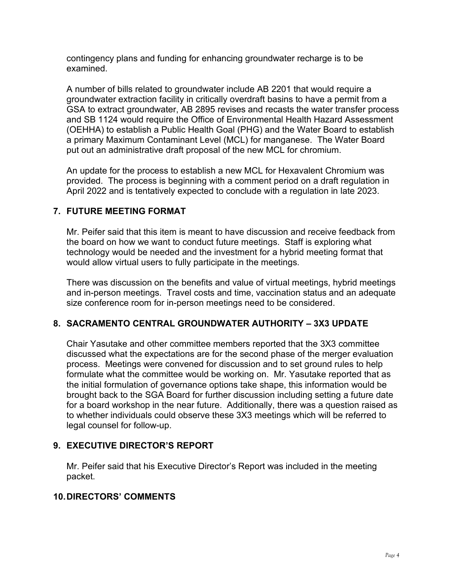contingency plans and funding for enhancing groundwater recharge is to be examined.

A number of bills related to groundwater include AB 2201 that would require a groundwater extraction facility in critically overdraft basins to have a permit from a GSA to extract groundwater, AB 2895 revises and recasts the water transfer process and SB 1124 would require the Office of Environmental Health Hazard Assessment (OEHHA) to establish a Public Health Goal (PHG) and the Water Board to establish a primary Maximum Contaminant Level (MCL) for manganese. The Water Board put out an administrative draft proposal of the new MCL for chromium.

An update for the process to establish a new MCL for Hexavalent Chromium was provided. The process is beginning with a comment period on a draft regulation in April 2022 and is tentatively expected to conclude with a regulation in late 2023.

### **7. FUTURE MEETING FORMAT**

Mr. Peifer said that this item is meant to have discussion and receive feedback from the board on how we want to conduct future meetings. Staff is exploring what technology would be needed and the investment for a hybrid meeting format that would allow virtual users to fully participate in the meetings.

There was discussion on the benefits and value of virtual meetings, hybrid meetings and in-person meetings. Travel costs and time, vaccination status and an adequate size conference room for in-person meetings need to be considered.

## **8. SACRAMENTO CENTRAL GROUNDWATER AUTHORITY – 3X3 UPDATE**

Chair Yasutake and other committee members reported that the 3X3 committee discussed what the expectations are for the second phase of the merger evaluation process. Meetings were convened for discussion and to set ground rules to help formulate what the committee would be working on. Mr. Yasutake reported that as the initial formulation of governance options take shape, this information would be brought back to the SGA Board for further discussion including setting a future date for a board workshop in the near future. Additionally, there was a question raised as to whether individuals could observe these 3X3 meetings which will be referred to legal counsel for follow-up.

## **9. EXECUTIVE DIRECTOR'S REPORT**

Mr. Peifer said that his Executive Director's Report was included in the meeting packet.

#### **10.DIRECTORS' COMMENTS**